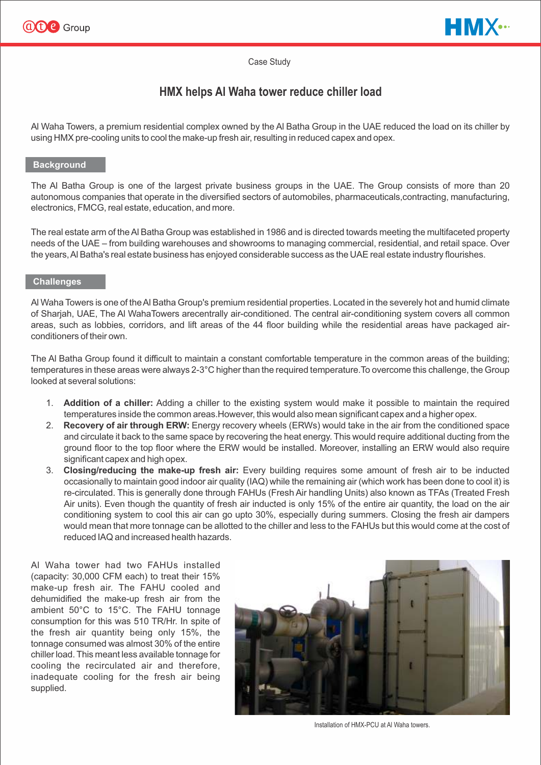



#### Case Study

# **HMX helps Al Waha tower reduce chiller load**

Al Waha Towers, a premium residential complex owned by the Al Batha Group in the UAE reduced the load on its chiller by using HMX pre-cooling units to cool the make-up fresh air, resulting in reduced capex and opex.

#### **Background**

The Al Batha Group is one of the largest private business groups in the UAE. The Group consists of more than 20 autonomous companies that operate in the diversified sectors of automobiles, pharmaceuticals,contracting, manufacturing, electronics, FMCG, real estate, education, and more.

The real estate arm of the Al Batha Group was established in 1986 and is directed towards meeting the multifaceted property needs of the UAE – from building warehouses and showrooms to managing commercial, residential, and retail space. Over the years, Al Batha's real estate business has enjoyed considerable success as the UAE real estate industry flourishes.

#### **Challenges**

Al Waha Towers is one of the Al Batha Group's premium residential properties. Located in the severely hot and humid climate of Sharjah, UAE, The Al WahaTowers arecentrally air-conditioned. The central air-conditioning system covers all common areas, such as lobbies, corridors, and lift areas of the 44 floor building while the residential areas have packaged airconditioners of their own.

The Al Batha Group found it difficult to maintain a constant comfortable temperature in the common areas of the building; temperatures in these areas were always 2-3°C higher than the required temperature. To overcome this challenge, the Group looked at several solutions:

- 1. **Addition of a chiller:** Adding a chiller to the existing system would make it possible to maintain the required temperatures inside the common areas.However, this would also mean significant capex and a higher opex.
- 2. **Recovery of air through ERW:** Energy recovery wheels (ERWs) would take in the air from the conditioned space and circulate it back to the same space by recovering the heat energy. This would require additional ducting from the ground floor to the top floor where the ERW would be installed. Moreover, installing an ERW would also require significant capex and high opex.
- 3. **Closing/reducing the make-up fresh air:** Every building requires some amount of fresh air to be inducted occasionally to maintain good indoor air quality (IAQ) while the remaining air (which work has been done to cool it) is re-circulated. This is generally done through FAHUs (Fresh Air handling Units) also known as TFAs (Treated Fresh Air units). Even though the quantity of fresh air inducted is only 15% of the entire air quantity, the load on the air conditioning system to cool this air can go upto 30%, especially during summers. Closing the fresh air dampers would mean that more tonnage can be allotted to the chiller and less to the FAHUs but this would come at the cost of reduced IAQ and increased health hazards.

Al Waha tower had two FAHUs installed (capacity: 30,000 CFM each) to treat their 15% make-up fresh air. The FAHU cooled and dehumidified the make-up fresh air from the ambient 50°C to 15°C. The FAHU tonnage consumption for this was 510 TR/Hr. In spite of the fresh air quantity being only 15%, the tonnage consumed was almost 30% of the entire chiller load. This meant less available tonnage for cooling the recirculated air and therefore, inadequate cooling for the fresh air being supplied.



Installation of HMX-PCU at Al Waha towers.